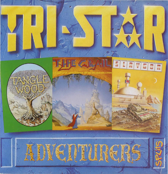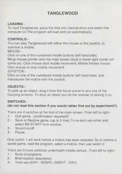# **TANGLEWOOD**

# **LOADING -**

To load Tanglewood, place the disk into internal drive and switch the computer on The program will load and run automatically.

## **CONTROLS:-**

You can play Tanglewood with either the mouse or the joystick, to summon a mobile,

MOUSE:-

Click on one of the numbered mobile buttons (left hand side).

Move mouse pointer onto the main screen (bulb in lower right corner will come on). Click mouse start mobile movement. Mobile follows mouse. Click mouse to stop mobile movement.

JOYSTICK:-

Click on one of the numbered mobile buttons (left hand side), and manoeuver the mobile with the joystick.

## **OBJECTS:-**

To pick up an object, drag it from the found scene to any one of the Carrying screens. To drop an object you do the reverse of picking it up.

## **SWITCHES:-**

# **(do not read this section if you would rather find out by experiment!!)**

There are 4 switches at the foot of the main screen. From left to right:-

- 1:- Quit game...(confirmation required)!!
- 2:- Save or Restore game .. (up to 5 files) To re-start use either and select RE-START from window.
- 3:- Sound on/off.
- 4:- Pause.

Only switch 1 will work before a mobile has been selected. So to restore a saved game, load the program, select a mobile, then use switch 2.

There are 3 more switches underneath mobile picture... From left to right:-

- 1:- Suite of programs.
- 2:- Brief location description.
- 3:- Time war-(DAY NIGHT)..(NIGHT DAY).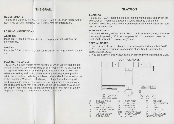# **THE GRAIL**

#### **REQUIREMENTS:-**

To play The Grail you will need an Atari ST with 512k, or an Amiga with at least 1 Mb of RAM.(memory). and a colour monitor or television.

### **LOADING INSTRUCTIONS:-**

#### **ATARI** ST:-

Place disk A into the internal disk drive, the program will load and run automatically.

#### **AMIGA :-**

Place the GRAIL disk into the internal disk drive, the program will load and run.

### **PLAYING THE GAME:-**

The GRAIL is a fully mouse driven adventure, which uses the left mouse button 'to play the game (by clicking on different parts of the picture) and the right mouse button for controlling functions, such as re-starting the adventure, setting and finding placemarkers (previously saved positions within the adventure), selecting a different drive and/or folder, or returning to the Desktop / Workbech. Left clicking on characters in the story will produce sounds, texts or changes of scene: on passing the cursor over the texts, some parts may highlight: these are the available choices. Left clicking on these may lead the characters to a different scene, or simply be part of an on going conversation. Now it's up to you...!

# **SLAYGON**

### **LOADING:-**

To load SLAYGON insert the first disk into the internal drive and switch the computer on, If you have an Atari ST you will have to click on the SLAYGON.PRG file, If you own a Commodore Amiga the program will load and run automatically...

# **HOW TO START:-**

The game will ask you if you would like to continue a save game, if this is so then reply by pressing 'Y', if not then press 'N'. You can also choose the level of difficulty, either [Novice] or [Expert]

## SPECIAL NOTES....

A) You can save the game at any time by pressing the button marked SAVE. B) You can load a previously saved game at any time by pressing the button marked LOAD.

C) You can exit the game without saving by pressing the button marked QUIT.



# **CONTROL PANEL**